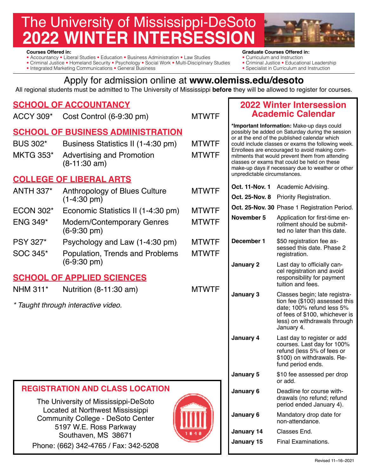# The University of Mississippi-DeSoto **22 WINTER INTERSESS**

- **Courses Offered in:** Courses Offered in:<br>• Accountancy Liberal Studies Education Business Administration Law Studies Curriculum and Instruction • Accountancy • Liberal Studies • Education • Business Administration • Law Studies • Curriculum and Instruction<br>• Criminal Justice • Homeland Security • Psychology • Social Work • Multi-Disciplinary Studies • Criminal Jus
- Criminal Justice Homeland Security Psychology Social Work Multi-Disciplinary Studies Criminal Justice Educational Leaderships Special is in Curriculum and Instruction
- Integrated Marketing Communications General Business

- 
- 
- 

# Apply for admission online at **<www.olemiss.edu/desoto>**

All regional students must be admitted to The University of Mississippi **before** they will be allowed to register for courses.

MTWTF

# **SCHOOL OF ACCOUNTANCY**

ACCY 309\* Cost Control (6-9:30 pm)

# **SCHOOL OF BUSINESS ADMINISTRATION**

BUS 302\* Business Statistics II (1-4:30 pm) MKTG 353\* Advertising and Promotion (8-11:30 am) MTWTF MTWTF

# **COLLEGE OF LIBERAL ARTS**

- ANTH 337\* Anthropology of Blues Culture (1-4:30 pm)
- ECON 302\* Economic Statistics II (1-4:30 pm)
- ENG 349\* Modern/Contemporary Genres (6-9:30 pm)
- PSY 327\* Psychology and Law (1-4:30 pm)
- SOC 345\* Population, Trends and Problems (6-9:30 pm)

# **SCHOOL OF APPLIED SCIENCES**

NHM 311\* Nutrition (8-11:30 am)

*\* Taught through interactive video.* 

| <b>REGISTRATION AND CLASS LOCATION</b> |  |
|----------------------------------------|--|
|----------------------------------------|--|

The University of Mississippi-DeSoto Located at Northwest Mississippi Community College - DeSoto Center 5197 W.E. Ross Parkway Southaven, MS 38671 Phone: (662) 342-4765 / Fax: 342-5208



## **2022 Winter Intersession Academic Calendar**

**\*Important Information:** Make-up days could possibly be added on Saturday during the session or at the end of the published calendar which could include classes or exams the following week. Enrollees are encouraged to avoid making commitments that would prevent them from attending classes or exams that could be held on these make-up days if necessary due to weather or other unpredictable circumstances.

|          | <b>MTWTF</b>                               | Oct. 11-Nov. 1    | Academic Advising.                                                                                                                                                           |  |
|----------|--------------------------------------------|-------------------|------------------------------------------------------------------------------------------------------------------------------------------------------------------------------|--|
|          |                                            | Oct. 25-Nov. 8    | Priority Registration.                                                                                                                                                       |  |
| m)       | <b>MTWTF</b>                               |                   | Oct. 25-Nov. 30 Phase 1 Registration Period.                                                                                                                                 |  |
|          | <b>MTWTF</b>                               | November 5        | Application for first-time en-<br>rollment should be submit-<br>ted no later than this date.                                                                                 |  |
| m)<br>ms | December 1<br><b>MTWTF</b><br><b>MTWTF</b> |                   | \$50 registration fee as-<br>sessed this date. Phase 2<br>registration.                                                                                                      |  |
|          |                                            | January 2         | Last day to officially can-<br>cel registration and avoid<br>responsibility for payment<br>tuition and fees.                                                                 |  |
|          | <b>MTWTF</b>                               | January 3         | Classes begin; late registra-<br>tion fee (\$100) assessed this<br>date; 100% refund less 5%<br>of fees of \$100, whichever is<br>less) on withdrawals through<br>January 4. |  |
|          |                                            | January 4         | Last day to register or add<br>courses. Last day for 100%<br>refund (less 5% of fees or<br>\$100) on withdrawals. Re-<br>fund period ends.                                   |  |
|          |                                            | January 5         | \$10 fee assessed per drop<br>or add.                                                                                                                                        |  |
|          |                                            | January 6         | Deadline for course with-<br>drawals (no refund; refund<br>period ended January 4).                                                                                          |  |
|          |                                            | January 6         | Mandatory drop date for<br>non-attendance.                                                                                                                                   |  |
|          |                                            | <b>January 14</b> | Classes End.                                                                                                                                                                 |  |
|          |                                            | <b>January 15</b> | <b>Final Examinations.</b>                                                                                                                                                   |  |